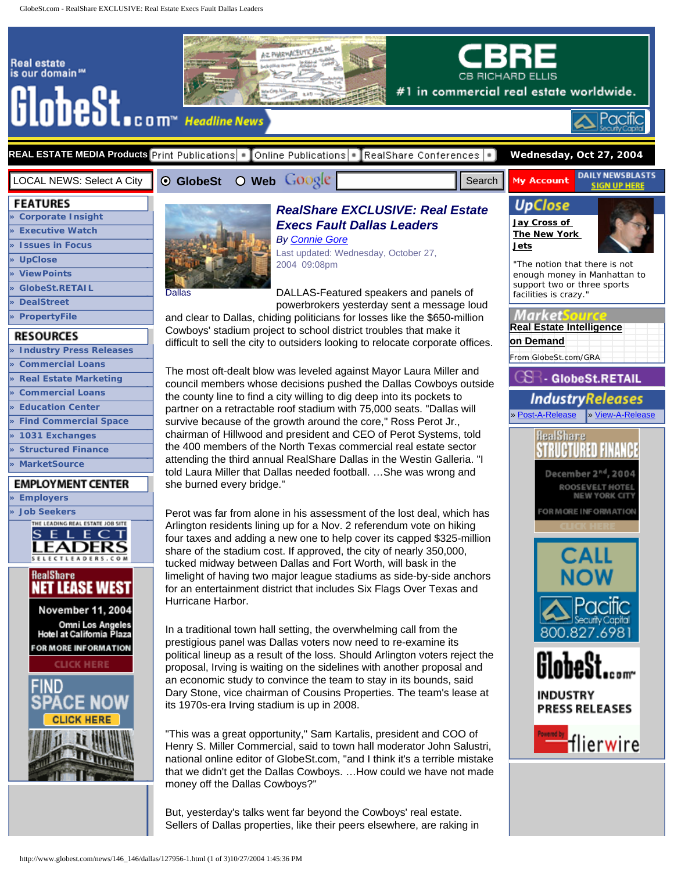<span id="page-0-0"></span>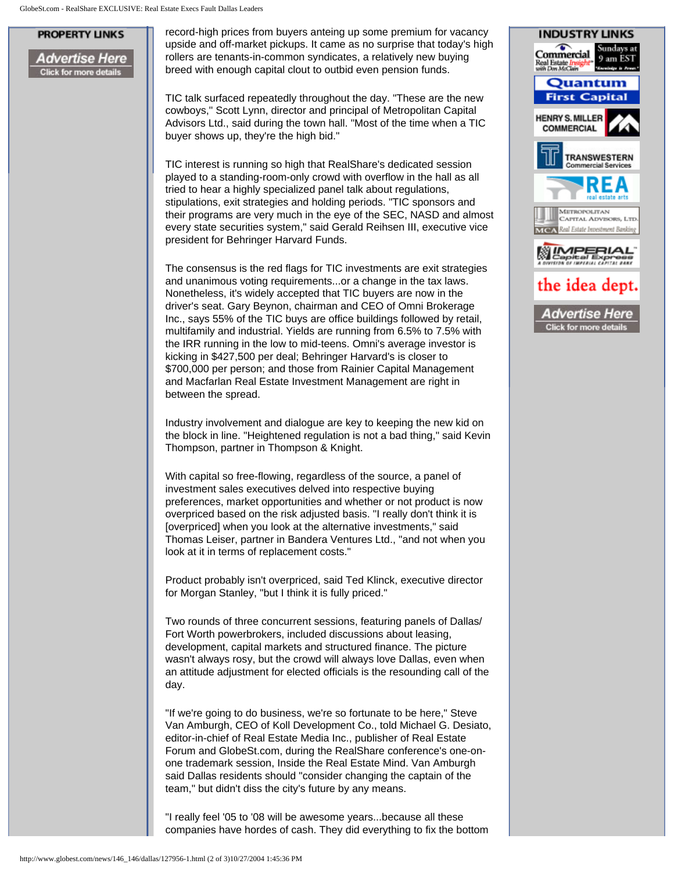## **PROPERTY LINKS**

Advertise Here **Click for more details** 

record-high prices from buyers anteing up some premium for vacancy upside and off-market pickups. It came as no surprise that today's high rollers are tenants-in-common syndicates, a relatively new buying breed with enough capital clout to outbid even pension funds.

TIC talk surfaced repeatedly throughout the day. "These are the new cowboys," Scott Lynn, director and principal of Metropolitan Capital Advisors Ltd., said during the town hall. "Most of the time when a TIC buyer shows up, they're the high bid."

TIC interest is running so high that RealShare's dedicated session played to a standing-room-only crowd with overflow in the hall as all tried to hear a highly specialized panel talk about regulations, stipulations, exit strategies and holding periods. "TIC sponsors and their programs are very much in the eye of the SEC, NASD and almost every state securities system," said Gerald Reihsen III, executive vice president for Behringer Harvard Funds.

The consensus is the red flags for TIC investments are exit strategies and unanimous voting requirements...or a change in the tax laws. Nonetheless, it's widely accepted that TIC buyers are now in the driver's seat. Gary Beynon, chairman and CEO of Omni Brokerage Inc., says 55% of the TIC buys are office buildings followed by retail, multifamily and industrial. Yields are running from 6.5% to 7.5% with the IRR running in the low to mid-teens. Omni's average investor is kicking in \$427,500 per deal; Behringer Harvard's is closer to \$700,000 per person; and those from Rainier Capital Management and Macfarlan Real Estate Investment Management are right in between the spread.

Industry involvement and dialogue are key to keeping the new kid on the block in line. "Heightened regulation is not a bad thing," said Kevin Thompson, partner in Thompson & Knight.

With capital so free-flowing, regardless of the source, a panel of investment sales executives delved into respective buying preferences, market opportunities and whether or not product is now overpriced based on the risk adjusted basis. "I really don't think it is [overpriced] when you look at the alternative investments," said Thomas Leiser, partner in Bandera Ventures Ltd., "and not when you look at it in terms of replacement costs."

Product probably isn't overpriced, said Ted Klinck, executive director for Morgan Stanley, "but I think it is fully priced."

Two rounds of three concurrent sessions, featuring panels of Dallas/ Fort Worth powerbrokers, included discussions about leasing, development, capital markets and structured finance. The picture wasn't always rosy, but the crowd will always love Dallas, even when an attitude adjustment for elected officials is the resounding call of the day.

"If we're going to do business, we're so fortunate to be here," Steve Van Amburgh, CEO of Koll Development Co., told Michael G. Desiato, editor-in-chief of Real Estate Media Inc., publisher of Real Estate Forum and GlobeSt.com, during the RealShare conference's one-onone trademark session, Inside the Real Estate Mind. Van Amburgh said Dallas residents should "consider changing the captain of the team," but didn't diss the city's future by any means.

"I really feel '05 to '08 will be awesome years...because all these companies have hordes of cash. They did everything to fix the bottom